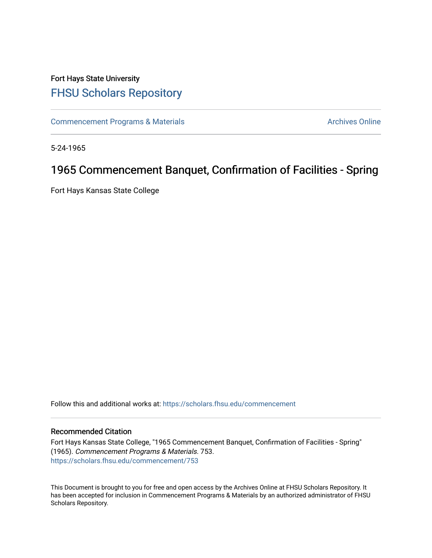## Fort Hays State University [FHSU Scholars Repository](https://scholars.fhsu.edu/)

[Commencement Programs & Materials](https://scholars.fhsu.edu/commencement) **Archives Online** Archives Online

5-24-1965

# 1965 Commencement Banquet, Confirmation of Facilities - Spring

Fort Hays Kansas State College

Follow this and additional works at: [https://scholars.fhsu.edu/commencement](https://scholars.fhsu.edu/commencement?utm_source=scholars.fhsu.edu%2Fcommencement%2F753&utm_medium=PDF&utm_campaign=PDFCoverPages)

#### Recommended Citation

Fort Hays Kansas State College, "1965 Commencement Banquet, Confirmation of Facilities - Spring" (1965). Commencement Programs & Materials. 753. [https://scholars.fhsu.edu/commencement/753](https://scholars.fhsu.edu/commencement/753?utm_source=scholars.fhsu.edu%2Fcommencement%2F753&utm_medium=PDF&utm_campaign=PDFCoverPages)

This Document is brought to you for free and open access by the Archives Online at FHSU Scholars Repository. It has been accepted for inclusion in Commencement Programs & Materials by an authorized administrator of FHSU Scholars Repository.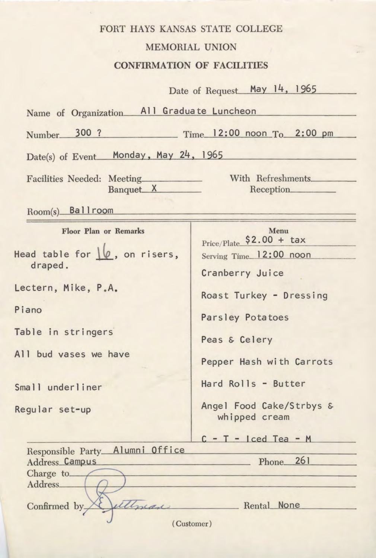### FORT HAYS KANSAS STATE COLLEGE MEMORIAL UNION **CONFIRMATION OF FACILITIES**

|                                                  | Date of Request May 14, 1965               |
|--------------------------------------------------|--------------------------------------------|
| Name of Organization                             | All Graduate Luncheon                      |
| Number 300 ?<br>Time 12:00 noon To 2:00 pm       |                                            |
| Date(s) of Event Monday, May 24, 1965            |                                            |
| Facilities Needed: Meeting_________<br>Banquet X | With Refreshments<br>Reception             |
| Room(s) Ballroom                                 |                                            |
| Floor Plan or Remarks                            | Menu<br>Price/Plate $$2.00 + tax$          |
| Head table for $\lvert \varphi$ , on risers,     | Serving Time_12:00 noon                    |
| draped.                                          | Cranberry Juice                            |
| Lectern, Mike, P.A.                              | Roast Turkey - Dressing                    |
| Piano                                            | Parsley Potatoes                           |
| Table in stringers                               | Peas & Celery                              |
| All bud vases we have                            | Pepper Hash with Carrots                   |
| Small underliner                                 | Hard Rolls - Butter                        |
| Regular set-up                                   | Angel Food Cake/Strbys &<br>whipped cream  |
|                                                  | $C - T - \lceil \text{ced Tea} - M \rceil$ |
| Responsible Party_Alumni Office                  |                                            |
| Address Campus Phone 261<br>Charge to            |                                            |
|                                                  |                                            |
| ettyran<br>Confirmed by                          | Rental None                                |
| (Customer)                                       |                                            |